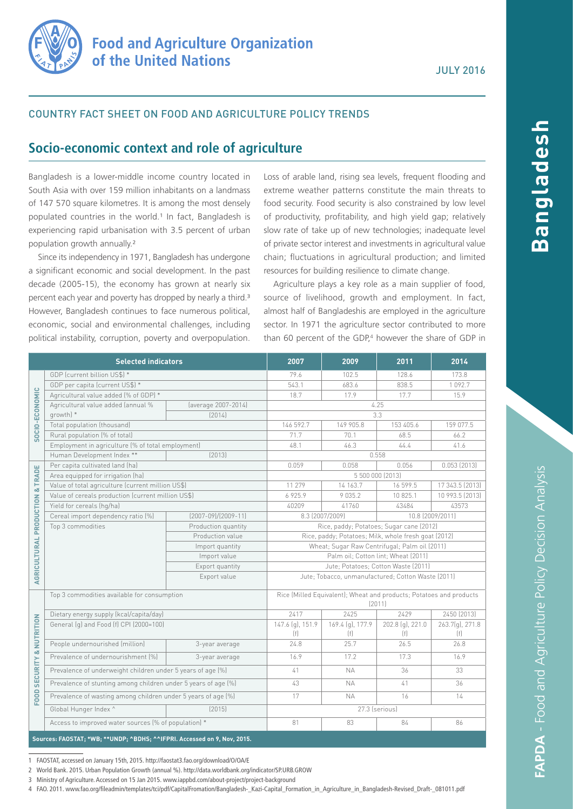

### COUNTRY FACT SHEET ON FOOD AND AGRICULTURE POLICY TRENDS

# **Socio-economic context and role of agriculture**

Bangladesh is a lower-middle income country located in South Asia with over 159 million inhabitants on a landmass of 147 570 square kilometres. It is among the most densely populated countries in the world.<sup>1</sup> In fact, Bangladesh is experiencing rapid urbanisation with 3.5 percent of urban population growth annually.²

Since its independency in 1971, Bangladesh has undergone a significant economic and social development. In the past decade (2005-15), the economy has grown at nearly six percent each year and poverty has dropped by nearly a third.<sup>3</sup> However, Bangladesh continues to face numerous political, economic, social and environmental challenges, including political instability, corruption, poverty and overpopulation.

Loss of arable land, rising sea levels, frequent flooding and extreme weather patterns constitute the main threats to food security. Food security is also constrained by low level of productivity, profitability, and high yield gap; relatively slow rate of take up of new technologies; inadequate level of private sector interest and investments in agricultural value chain; fluctuations in agricultural production; and limited resources for building resilience to climate change.

Agriculture plays a key role as a main supplier of food, source of livelihood, growth and employment. In fact, almost half of Bangladeshis are employed in the agriculture sector. In 1971 the agriculture sector contributed to more than 60 percent of the GDP,<sup>4</sup> however the share of GDP in

| <b>Selected indicators</b>                                                |                                                                |                       | 2007                                                                          | 2009             | 2011             | 2014            |
|---------------------------------------------------------------------------|----------------------------------------------------------------|-----------------------|-------------------------------------------------------------------------------|------------------|------------------|-----------------|
| SOCIO-ECONOMIC                                                            | GDP (current billion US\$) *                                   |                       | 79.6                                                                          | 102.5            | 128.6            | 173.8           |
|                                                                           | GDP per capita (current US\$) *                                |                       | 543.1                                                                         | 683.6            | 838.5            | 1092.7          |
|                                                                           | Agricultural value added (% of GDP) *                          |                       | 18.7                                                                          | 17.9             | 17.7             | 15.9            |
|                                                                           | Agricultural value added (annual %<br>growth) *                | (average 2007-2014)   | 4.25                                                                          |                  |                  |                 |
|                                                                           |                                                                | (2014)                | 3.3                                                                           |                  |                  |                 |
|                                                                           | Total population (thousand)                                    |                       | 146 592.7                                                                     | 149 905.8        | 153 405.6        | 159 077.5       |
|                                                                           | Rural population (% of total)                                  |                       | 71.7                                                                          | 70.1             | 68.5             | 66.2            |
|                                                                           | Employment in agriculture (% of total employment)              |                       | 48.1                                                                          | 46.3             | 44.4             | 41.6            |
|                                                                           | Human Development Index **                                     | [2013]                |                                                                               |                  | 0.558            |                 |
| <b>AGRICULTURAL PRODUCTION &amp; TRADE</b>                                | Per capita cultivated land (ha)                                |                       | 0.059                                                                         | 0.058            | 0.056            | 0.053(2013)     |
|                                                                           | Area equipped for irrigation (ha)                              |                       | 5 500 000 (2013)                                                              |                  |                  |                 |
|                                                                           | Value of total agriculture (current million US\$)              |                       | 11 279                                                                        | 14 163.7         | 16 599.5         | 17 343.5 (2013) |
|                                                                           | Value of cereals production (current million US\$)             |                       | 6925.9                                                                        | 9 0 3 5 . 2      | 10 825.1         | 10 993.5 (2013) |
|                                                                           | Yield for cereals (hg/ha)                                      |                       | 40209                                                                         | 41760            | 43484            | 43573           |
|                                                                           | Cereal import dependency ratio [%]                             | $(2007-09)/(2009-11)$ | 8.3 (2007/2009)<br>10.8 (2009/2011)                                           |                  |                  |                 |
|                                                                           | Top 3 commodities                                              | Production quantity   | Rice, paddy; Potatoes; Sugar cane (2012)                                      |                  |                  |                 |
|                                                                           |                                                                | Production value      | Rice, paddy; Potatoes; Milk, whole fresh goat (2012)                          |                  |                  |                 |
|                                                                           |                                                                | Import quantity       | Wheat; Sugar Raw Centrifugal; Palm oil (2011)                                 |                  |                  |                 |
|                                                                           |                                                                | Import value          | Palm oil; Cotton lint; Wheat (2011)                                           |                  |                  |                 |
|                                                                           |                                                                | Export quantity       | Jute; Potatoes; Cotton Waste (2011)                                           |                  |                  |                 |
|                                                                           |                                                                | Export value          | Jute; Tobacco, unmanufactured; Cotton Waste (2011)                            |                  |                  |                 |
|                                                                           | Top 3 commodities available for consumption                    |                       | Rice (Milled Equivalent); Wheat and products; Potatoes and products<br>(2011) |                  |                  |                 |
| FOOD SECURITY & NUTRITION                                                 | Dietary energy supply (kcal/capita/day)                        |                       | 2417                                                                          | 2425             | 2429             | 2450 (2013)     |
|                                                                           | General (g) and Food (f) CPI (2000=100)                        |                       | 147.6 (g), 151.9                                                              | 169.4 (g), 177.9 | 202.8 (g), 221.0 | 263.7(g), 271.8 |
|                                                                           |                                                                |                       | (f)                                                                           | (f)              | (f)              | (f)             |
|                                                                           | People undernourished (million)                                | 3-year average        | 24.8                                                                          | 25.7             | 26.5             | 26.8            |
|                                                                           | Prevalence of undernourishment [%]                             | 3-year average        | 16.9                                                                          | 17.2             | 17.3             | 16.9            |
|                                                                           | Prevalence of underweight children under 5 years of age (%)    |                       | 41                                                                            | <b>NA</b>        | 36               | 33              |
|                                                                           | Prevalence of stunting among children under 5 years of age [%] |                       | 43                                                                            | <b>NA</b>        | 41               | 36              |
|                                                                           | Prevalence of wasting among children under 5 years of age (%)  |                       | 17                                                                            | <b>NA</b>        | 16               | 14              |
|                                                                           | Global Hunger Index ^                                          | [2015]                | 27.3 (serious)                                                                |                  |                  |                 |
|                                                                           | Access to improved water sources (% of population) *           |                       | 81                                                                            | 83               | 84               | 86              |
| Sources: FAOSTAT; *WB; ** UNDP; ^BDHS; ^^IFPRI. Accessed on 9, Nov, 2015. |                                                                |                       |                                                                               |                  |                  |                 |

1 FAOSTAT, accessed on January 15th, 2015.<http://faostat3.fao.org/download/O/OA/E>

2 World Bank. 2015. Urban Population Growth (annual %). [http://data.worldbank.org/indicator/SP.URB.GROW](http://data.worldbank.org/indicator/SP.URB.GROW )

3 Ministry of Agriculture. Accessed on 15 Jan 2015. [www.iappbd.com/about-project/project-background](http://www.iappbd.com/about-project/project-background/)

4 FAO. 2011. [www.fao.org/fileadmin/templates/tci/pdf/CapitalFromation/Bangladesh-\\_Kazi-Capital\\_Formation\\_in\\_Agriculture\\_in\\_Bangladesh-Revised\\_Draft-\\_081011.pdf](http://www.fao.org/fileadmin/templates/tci/pdf/CapitalFromation/Bangladesh-_Kazi-Capital_Formation_in_Agriculture_in_Bangladesh-Revised_Draft-_081011.pdf)

**Bangladesh**

lasabalana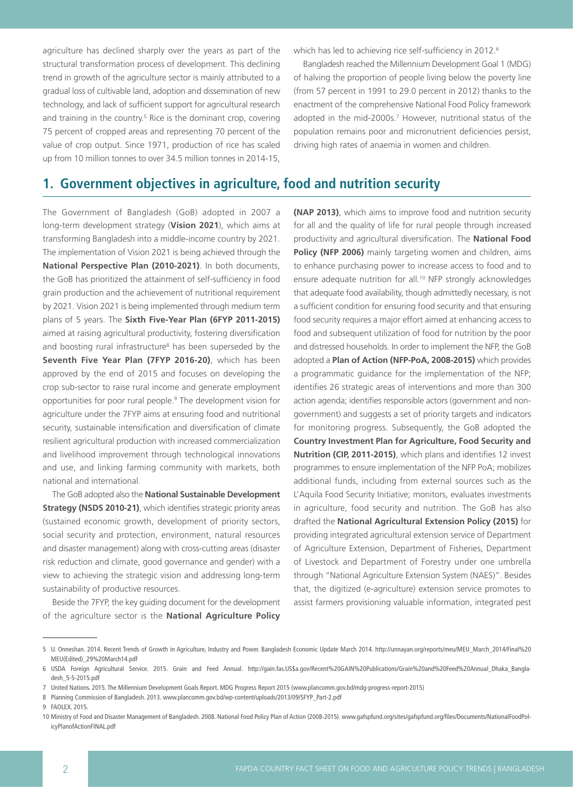agriculture has declined sharply over the years as part of the structural transformation process of development. This declining trend in growth of the agriculture sector is mainly attributed to a gradual loss of cultivable land, adoption and dissemination of new technology, and lack of sufficient support for agricultural research and training in the country.<sup>5</sup> Rice is the dominant crop, covering 75 percent of cropped areas and representing 70 percent of the value of crop output. Since 1971, production of rice has scaled up from 10 million tonnes to over 34.5 million tonnes in 2014-15,

which has led to achieving rice self-sufficiency in 2012.<sup>6</sup>

Bangladesh reached the Millennium Development Goal 1 (MDG) of halving the proportion of people living below the poverty line (from 57 percent in 1991 to 29.0 percent in 2012) thanks to the enactment of the comprehensive National Food Policy framework adopted in the mid-2000s.<sup>7</sup> However, nutritional status of the population remains poor and micronutrient deficiencies persist, driving high rates of anaemia in women and children.

## **1. Government objectives in agriculture, food and nutrition security**

The Government of Bangladesh (GoB) adopted in 2007 a long-term development strategy (**Vision 2021**), which aims at transforming Bangladesh into a middle-income country by 2021. The implementation of Vision 2021 is being achieved through the **National Perspective Plan (2010-2021)**. In both documents, the GoB has prioritized the attainment of self-sufficiency in food grain production and the achievement of nutritional requirement by 2021. Vision 2021 is being implemented through medium term plans of 5 years. The **Sixth Five-Year Plan (6FYP 2011-2015)** aimed at raising agricultural productivity, fostering diversification and boosting rural infrastructure<sup>8</sup> has been superseded by the **Seventh Five Year Plan (7FYP 2016-20)**, which has been approved by the end of 2015 and focuses on developing the crop sub-sector to raise rural income and generate employment opportunities for poor rural people.9 The development vision for agriculture under the 7FYP aims at ensuring food and nutritional security, sustainable intensification and diversification of climate resilient agricultural production with increased commercialization and livelihood improvement through technological innovations and use, and linking farming community with markets, both national and international.

The GoB adopted also the **National Sustainable Development Strategy (NSDS 2010-21)**, which identifies strategic priority areas (sustained economic growth, development of priority sectors, social security and protection, environment, natural resources and disaster management) along with cross-cutting areas (disaster risk reduction and climate, good governance and gender) with a view to achieving the strategic vision and addressing long-term sustainability of productive resources.

Beside the 7FYP, the key guiding document for the development of the agriculture sector is the **National Agriculture Policy** 

**(NAP 2013)**, which aims to improve food and nutrition security for all and the quality of life for rural people through increased productivity and agricultural diversification. The **National Food Policy (NFP 2006)** mainly targeting women and children, aims to enhance purchasing power to increase access to food and to ensure adequate nutrition for all.<sup>10</sup> NFP strongly acknowledges that adequate food availability, though admittedly necessary, is not a sufficient condition for ensuring food security and that ensuring food security requires a major effort aimed at enhancing access to food and subsequent utilization of food for nutrition by the poor and distressed households. In order to implement the NFP, the GoB adopted a **Plan of Action (NFP-PoA, 2008-2015)** which provides a programmatic guidance for the implementation of the NFP; identifies 26 strategic areas of interventions and more than 300 action agenda; identifies responsible actors (government and nongovernment) and suggests a set of priority targets and indicators for monitoring progress. Subsequently, the GoB adopted the **Country Investment Plan for Agriculture, Food Security and Nutrition (CIP, 2011-2015)**, which plans and identifies 12 invest programmes to ensure implementation of the NFP PoA; mobilizes additional funds, including from external sources such as the L'Aquila Food Security Initiative; monitors, evaluates investments in agriculture, food security and nutrition. The GoB has also drafted the **National Agricultural Extension Policy (2015)** for providing integrated agricultural extension service of Department of Agriculture Extension, Department of Fisheries, Department of Livestock and Department of Forestry under one umbrella through "National Agriculture Extension System (NAES)". Besides that, the digitized (e-agriculture) extension service promotes to assist farmers provisioning valuable information, integrated pest

<sup>5</sup> U. Onneshan. 2014. Recent Trends of Growth in Agriculture, Industry and Power. Bangladesh Economic Update March 2014. [http://unnayan.org/reports/meu/MEU\\_March\\_2014/Final%20](http://unnayan.org/reports/meu/MEU_March_2014/Final%20MEU(Edited)_29%20March14.pdf) [MEU\(Edited\)\\_29%20March14.pdf](http://unnayan.org/reports/meu/MEU_March_2014/Final%20MEU(Edited)_29%20March14.pdf)

<sup>6</sup> USDA Foreign Agricultural Service. 2015. Grain and Feed Annual. [http://gain.fas.US\\$a.gov/Recent%20GAIN%20Publications/Grain%20and%20Feed%20Annual\\_Dhaka\\_Bangla](http://gain.fas.US$a.gov/Recent%20GAIN%20Publications/Grain%20and%20Feed%20Annual_Dhaka_Bangladesh_5-5-2015.pdf)[desh\\_5-5-2015.pdf](http://gain.fas.US$a.gov/Recent%20GAIN%20Publications/Grain%20and%20Feed%20Annual_Dhaka_Bangladesh_5-5-2015.pdf)

<sup>7</sup> United Nations. 2015. The Millennium Development Goals Report. MDG Progress Report 2015 ([www.plancomm.gov.bd/mdg-progress-report-2015](http://www.plancomm.gov.bd/mdg-progress-report-2015))

<sup>8</sup> Planning Commission of Bangladesh. 2013. [www.plancomm.gov.bd/wp-content/uploads/2013/09/SFYP\\_Part-2.pdf](http://www.plancomm.gov.bd/wp-content/uploads/2013/09/SFYP_Part-2.pdf ) 

<sup>9</sup> FAOLEX. 2015.

<sup>10</sup> Ministry of Food and Disaster Management of Bangladesh. 2008. National Food Policy Plan of Action (2008-2015). [www.gafspfund.org/sites/gafspfund.org/files/Documents/NationalFoodPol](http://www.gafspfund.org/sites/gafspfund.org/files/Documents/NationalFoodPolicyPlanofActionFINAL.pdf )[icyPlanofActionFINAL.pdf](http://www.gafspfund.org/sites/gafspfund.org/files/Documents/NationalFoodPolicyPlanofActionFINAL.pdf )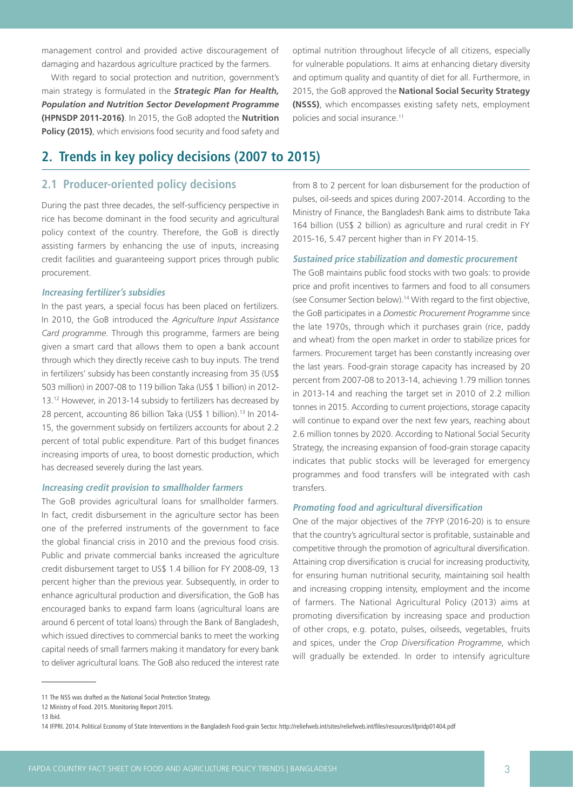management control and provided active discouragement of damaging and hazardous agriculture practiced by the farmers.

With regard to social protection and nutrition, government's main strategy is formulated in the *Strategic Plan for Health, Population and Nutrition Sector Development Programme*  **(HPNSDP 2011-2016)**. In 2015, the GoB adopted the **Nutrition Policy (2015)**, which envisions food security and food safety and optimal nutrition throughout lifecycle of all citizens, especially for vulnerable populations. It aims at enhancing dietary diversity and optimum quality and quantity of diet for all. Furthermore, in 2015, the GoB approved the **National Social Security Strategy (NSSS)**, which encompasses existing safety nets, employment policies and social insurance.11

# **2. Trends in key policy decisions (2007 to 2015)**

## **2.1 Producer-oriented policy decisions**

During the past three decades, the self-sufficiency perspective in rice has become dominant in the food security and agricultural policy context of the country. Therefore, the GoB is directly assisting farmers by enhancing the use of inputs, increasing credit facilities and guaranteeing support prices through public procurement.

#### **Increasing fertilizer's subsidies**

In the past years, a special focus has been placed on fertilizers. In 2010, the GoB introduced the *Agriculture Input Assistance Card programme*. Through this programme, farmers are being given a smart card that allows them to open a bank account through which they directly receive cash to buy inputs. The trend in fertilizers' subsidy has been constantly increasing from 35 (US\$ 503 million) in 2007-08 to 119 billion Taka (US\$ 1 billion) in 2012- 13.12 However, in 2013-14 subsidy to fertilizers has decreased by 28 percent, accounting 86 billion Taka (US\$ 1 billion).13 In 2014- 15, the government subsidy on fertilizers accounts for about 2.2 percent of total public expenditure. Part of this budget finances increasing imports of urea, to boost domestic production, which has decreased severely during the last years.

#### **Increasing credit provision to smallholder farmers**

The GoB provides agricultural loans for smallholder farmers. In fact, credit disbursement in the agriculture sector has been one of the preferred instruments of the government to face the global financial crisis in 2010 and the previous food crisis. Public and private commercial banks increased the agriculture credit disbursement target to US\$ 1.4 billion for FY 2008-09, 13 percent higher than the previous year. Subsequently, in order to enhance agricultural production and diversification, the GoB has encouraged banks to expand farm loans (agricultural loans are around 6 percent of total loans) through the Bank of Bangladesh, which issued directives to commercial banks to meet the working capital needs of small farmers making it mandatory for every bank to deliver agricultural loans. The GoB also reduced the interest rate

from 8 to 2 percent for loan disbursement for the production of pulses, oil-seeds and spices during 2007-2014. According to the Ministry of Finance, the Bangladesh Bank aims to distribute Taka 164 billion (US\$ 2 billion) as agriculture and rural credit in FY 2015-16, 5.47 percent higher than in FY 2014-15.

#### **Sustained price stabilization and domestic procurement**

The GoB maintains public food stocks with two goals: to provide price and profit incentives to farmers and food to all consumers (see Consumer Section below).14 With regard to the first objective, the GoB participates in a *Domestic Procurement Programme* since the late 1970s, through which it purchases grain (rice, paddy and wheat) from the open market in order to stabilize prices for farmers. Procurement target has been constantly increasing over the last years. Food-grain storage capacity has increased by 20 percent from 2007-08 to 2013-14, achieving 1.79 million tonnes in 2013-14 and reaching the target set in 2010 of 2.2 million tonnes in 2015. According to current projections, storage capacity will continue to expand over the next few years, reaching about 2.6 million tonnes by 2020. According to National Social Security Strategy, the increasing expansion of food-grain storage capacity indicates that public stocks will be leveraged for emergency programmes and food transfers will be integrated with cash transfers.

#### **Promoting food and agricultural diversification**

One of the major objectives of the 7FYP (2016-20) is to ensure that the country's agricultural sector is profitable, sustainable and competitive through the promotion of agricultural diversification. Attaining crop diversification is crucial for increasing productivity, for ensuring human nutritional security, maintaining soil health and increasing cropping intensity, employment and the income of farmers. The National Agricultural Policy (2013) aims at promoting diversification by increasing space and production of other crops, e.g. potato, pulses, oilseeds, vegetables, fruits and spices, under the *Crop Diversification Programme*, which will gradually be extended. In order to intensify agriculture

<sup>11</sup> The NSS was drafted as the National Social Protection Strategy.

<sup>12</sup> Ministry of Food. 2015. Monitoring Report 2015.

<sup>13</sup> Ibid.

<sup>14</sup> IFPRI. 2014. Political Economy of State Interventions in the Bangladesh Food-grain Sector. [http://reliefweb.int/sites/reliefweb.int/files/resources/ifpridp01404.pdf](http://reliefweb.int/sites/reliefweb.int/files/resources/ifpridp01404.pdf )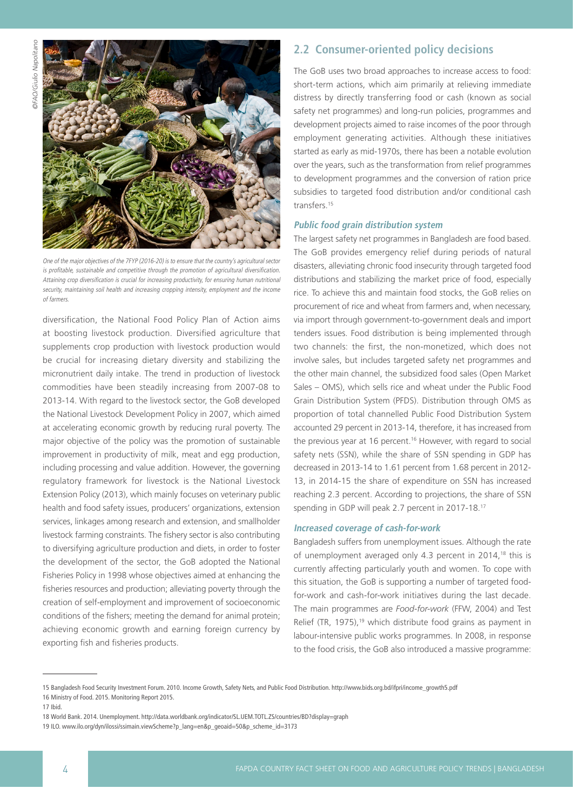

One of the major objectives of the 7FYP (2016-20) is to ensure that the country's agricultural sector is profitable, sustainable and competitive through the promotion of agricultural diversification. Attaining crop diversification is crucial for increasing productivity, for ensuring human nutritional security, maintaining soil health and increasing cropping intensity, employment and the income of farmers.

diversification, the National Food Policy Plan of Action aims at boosting livestock production. Diversified agriculture that supplements crop production with livestock production would be crucial for increasing dietary diversity and stabilizing the micronutrient daily intake. The trend in production of livestock commodities have been steadily increasing from 2007-08 to 2013-14. With regard to the livestock sector, the GoB developed the National Livestock Development Policy in 2007, which aimed at accelerating economic growth by reducing rural poverty. The major objective of the policy was the promotion of sustainable improvement in productivity of milk, meat and egg production, including processing and value addition. However, the governing regulatory framework for livestock is the National Livestock Extension Policy (2013), which mainly focuses on veterinary public health and food safety issues, producers' organizations, extension services, linkages among research and extension, and smallholder livestock farming constraints. The fishery sector is also contributing to diversifying agriculture production and diets, in order to foster the development of the sector, the GoB adopted the National Fisheries Policy in 1998 whose objectives aimed at enhancing the fisheries resources and production; alleviating poverty through the creation of self-employment and improvement of socioeconomic conditions of the fishers; meeting the demand for animal protein; achieving economic growth and earning foreign currency by exporting fish and fisheries products.

### **2.2 Consumer-oriented policy decisions**

The GoB uses two broad approaches to increase access to food: short-term actions, which aim primarily at relieving immediate distress by directly transferring food or cash (known as social safety net programmes) and long-run policies, programmes and development projects aimed to raise incomes of the poor through employment generating activities. Although these initiatives started as early as mid-1970s, there has been a notable evolution over the years, such as the transformation from relief programmes to development programmes and the conversion of ration price subsidies to targeted food distribution and/or conditional cash transfers.<sup>15</sup>

### **Public food grain distribution system**

The largest safety net programmes in Bangladesh are food based. The GoB provides emergency relief during periods of natural disasters, alleviating chronic food insecurity through targeted food distributions and stabilizing the market price of food, especially rice. To achieve this and maintain food stocks, the GoB relies on procurement of rice and wheat from farmers and, when necessary, via import through government-to-government deals and import tenders issues. Food distribution is being implemented through two channels: the first, the non-monetized, which does not involve sales, but includes targeted safety net programmes and the other main channel, the subsidized food sales (Open Market Sales – OMS), which sells rice and wheat under the Public Food Grain Distribution System (PFDS). Distribution through OMS as proportion of total channelled Public Food Distribution System accounted 29 percent in 2013-14, therefore, it has increased from the previous year at 16 percent.<sup>16</sup> However, with regard to social safety nets (SSN), while the share of SSN spending in GDP has decreased in 2013-14 to 1.61 percent from 1.68 percent in 2012- 13, in 2014-15 the share of expenditure on SSN has increased reaching 2.3 percent. According to projections, the share of SSN spending in GDP will peak 2.7 percent in 2017-18.17

#### **Increased coverage of cash-for-work**

Bangladesh suffers from unemployment issues. Although the rate of unemployment averaged only 4.3 percent in 2014,<sup>18</sup> this is currently affecting particularly youth and women. To cope with this situation, the GoB is supporting a number of targeted foodfor-work and cash-for-work initiatives during the last decade. The main programmes are *Food-for-work* (FFW, 2004) and Test Relief (TR, 1975),<sup>19</sup> which distribute food grains as payment in labour-intensive public works programmes. In 2008, in response to the food crisis, the GoB also introduced a massive programme:

<sup>15</sup> Bangladesh Food Security Investment Forum. 2010. Income Growth, Safety Nets, and Public Food Distribution. [http://www.bids.org.bd/ifpri/income\\_growth5.pdf](http://www.bids.org.bd/ifpri/income_growth5.pdf) 16 Ministry of Food. 2015. Monitoring Report 2015.

<sup>17</sup> Ibid.

<sup>18</sup> World Bank. 2014. Unemployment. [http://data.worldbank.org/indicator/SL.UEM.TOTL.ZS/countries/BD?display=graph](http://data.worldbank.org/indicator/SL.UEM.TOTL.ZS/countries/BD?display=graph ) 

<sup>19</sup> ILO. [www.ilo.org/dyn/ilossi/ssimain.viewScheme?p\\_lang=en&p\\_geoaid=50&p\\_scheme\\_id=3173](http://www.ilo.org/dyn/ilossi/ssimain.viewScheme?p_lang=en&p_geoaid=50&p_scheme_id=3173)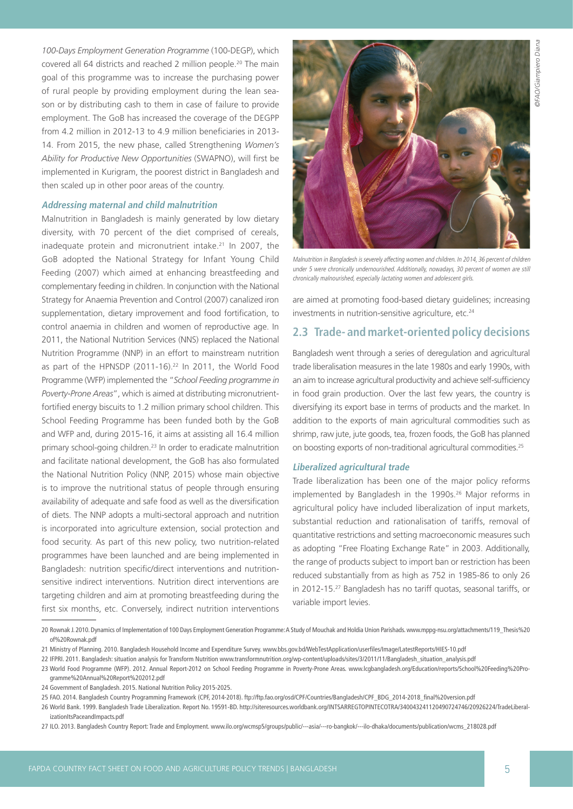*100-Days Employment Generation Programme* (100-DEGP), which covered all 64 districts and reached 2 million people.20 The main goal of this programme was to increase the purchasing power of rural people by providing employment during the lean season or by distributing cash to them in case of failure to provide employment. The GoB has increased the coverage of the DEGPP from 4.2 million in 2012-13 to 4.9 million beneficiaries in 2013- 14. From 2015, the new phase, called Strengthening *Women's Ability for Productive New Opportunities* (SWAPNO), will first be implemented in Kurigram, the poorest district in Bangladesh and then scaled up in other poor areas of the country.

### **Addressing maternal and child malnutrition**

Malnutrition in Bangladesh is mainly generated by low dietary diversity, with 70 percent of the diet comprised of cereals, inadequate protein and micronutrient intake.21 In 2007, the GoB adopted the National Strategy for Infant Young Child Feeding (2007) which aimed at enhancing breastfeeding and complementary feeding in children. In conjunction with the National Strategy for Anaemia Prevention and Control (2007) canalized iron supplementation, dietary improvement and food fortification, to control anaemia in children and women of reproductive age. In 2011, the National Nutrition Services (NNS) replaced the National Nutrition Programme (NNP) in an effort to mainstream nutrition as part of the HPNSDP (2011-16).<sup>22</sup> In 2011, the World Food Programme (WFP) implemented the "*School Feeding programme in Poverty-Prone Areas*", which is aimed at distributing micronutrientfortified energy biscuits to 1.2 million primary school children. This School Feeding Programme has been funded both by the GoB and WFP and, during 2015-16, it aims at assisting all 16.4 million primary school-going children.23 In order to eradicate malnutrition and facilitate national development, the GoB has also formulated the National Nutrition Policy (NNP, 2015) whose main objective is to improve the nutritional status of people through ensuring availability of adequate and safe food as well as the diversification of diets. The NNP adopts a multi-sectoral approach and nutrition is incorporated into agriculture extension, social protection and food security. As part of this new policy, two nutrition-related programmes have been launched and are being implemented in Bangladesh: nutrition specific/direct interventions and nutritionsensitive indirect interventions. Nutrition direct interventions are targeting children and aim at promoting breastfeeding during the first six months, etc. Conversely, indirect nutrition interventions



Malnutrition in Bangladesh is severely affecting women and children. In 2014, 36 percent of children under 5 were chronically undernourished. Additionally, nowadays, 30 percent of women are still chronically malnourished, especially lactating women and adolescent girls.

are aimed at promoting food-based dietary guidelines; increasing investments in nutrition-sensitive agriculture, etc.<sup>24</sup>

### **2.3 Trade- and market-oriented policy decisions**

Bangladesh went through a series of deregulation and agricultural trade liberalisation measures in the late 1980s and early 1990s, with an aim to increase agricultural productivity and achieve self-sufficiency in food grain production. Over the last few years, the country is diversifying its export base in terms of products and the market. In addition to the exports of main agricultural commodities such as shrimp, raw jute, jute goods, tea, frozen foods, the GoB has planned on boosting exports of non-traditional agricultural commodities.25

#### **Liberalized agricultural trade**

Trade liberalization has been one of the major policy reforms implemented by Bangladesh in the 1990s.<sup>26</sup> Major reforms in agricultural policy have included liberalization of input markets, substantial reduction and rationalisation of tariffs, removal of quantitative restrictions and setting macroeconomic measures such as adopting "Free Floating Exchange Rate" in 2003. Additionally, the range of products subject to import ban or restriction has been reduced substantially from as high as 752 in 1985-86 to only 26 in 2012-15.27 Bangladesh has no tariff quotas, seasonal tariffs, or variable import levies.

<sup>20</sup> Rownak J. 2010. Dynamics of Implementation of 100 Days Employment Generation Programme: A Study of Mouchak and Holdia Union Parishads. [www.mppg-nsu.org/attachments/119\\_Thesis%20](http://www.mppg-nsu.org/attachments/119_Thesis%20of%20Rownak.pdf ) [of%20Rownak.pdf](http://www.mppg-nsu.org/attachments/119_Thesis%20of%20Rownak.pdf ) 

<sup>21</sup> Ministry of Planning. 2010. Bangladesh Household Income and Expenditure Survey. [www.bbs.gov.bd/WebTestApplication/userfiles/Image/LatestReports/HIES-10.pdf](http://www.bbs.gov.bd/WebTestApplication/userfiles/Image/LatestReports/HIES-10.pdf )

<sup>22</sup> IFPRI. 2011. Bangladesh: situation analysis for Transform Nutrition [www.transformnutrition.org/wp-content/uploads/sites/3/2011/11/Bangladesh\\_situation\\_analysis.pdf](http://www.transformnutrition.org/wp-content/uploads/sites/3/2011/11/Bangladesh_situation_analysis.pdf)

<sup>23</sup> World Food Programme (WFP). 2012. Annual Report-2012 on School Feeding Programme in Poverty-Prone Areas. [www.lcgbangladesh.org/Education/reports/School%20Feeding%20Pro-](http://www.lcgbangladesh.org/Education/reports/School%20Feeding%20Programme%20Annual%20Report%202012.pdf )

[gramme%20Annual%20Report%202012.pdf](http://www.lcgbangladesh.org/Education/reports/School%20Feeding%20Programme%20Annual%20Report%202012.pdf ) 

<sup>24</sup> Government of Bangladesh. 2015. National Nutrition Policy 2015-2025.

<sup>25</sup> FAO. 2014. Bangladesh Country Programming Framework (CPF, 2014-2018). [ftp://ftp.fao.org/osd/CPF/Countries/Bangladesh/CPF\\_BDG\\_2014-2018\\_final%20version.pdf](ftp://ftp.fao.org/osd/CPF/Countries/Bangladesh/CPF_BDG_2014-2018_final%20version.pdf ) 

<sup>26</sup> World Bank. 1999. Bangladesh Trade Liberalization. Report No. 19591-BD. [http://siteresources.worldbank.org/INTSARREGTOPINTECOTRA/340043241120490724746/20926224/TradeLiberal](http://siteresources.worldbank.org/INTSARREGTOPINTECOTRA/340043241120490724746/20926224/TradeLiberalizationItsPaceandImpacts.pdf )[izationItsPaceandImpacts.pdf](http://siteresources.worldbank.org/INTSARREGTOPINTECOTRA/340043241120490724746/20926224/TradeLiberalizationItsPaceandImpacts.pdf )

<sup>27</sup> ILO. 2013. Bangladesh Country Report: Trade and Employment. [www.ilo.org/wcmsp5/groups/public/---asia/---ro-bangkok/---ilo-dhaka/documents/publication/wcms\\_218028.pdf](http://www.ilo.org/wcmsp5/groups/public/---asia/---ro-bangkok/---ilo-dhaka/documents/publication/wcms_218028.pdf )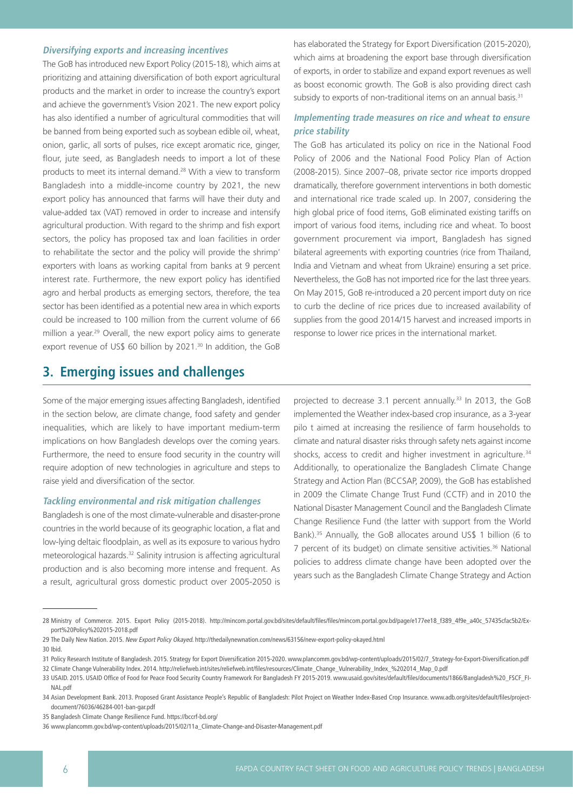### **Diversifying exports and increasing incentives**

The GoB has introduced new Export Policy (2015-18), which aims at prioritizing and attaining diversification of both export agricultural products and the market in order to increase the country's export and achieve the government's Vision 2021. The new export policy has also identified a number of agricultural commodities that will be banned from being exported such as soybean edible oil, wheat, onion, garlic, all sorts of pulses, rice except aromatic rice, ginger, flour, jute seed, as Bangladesh needs to import a lot of these products to meet its internal demand.28 With a view to transform Bangladesh into a middle-income country by 2021, the new export policy has announced that farms will have their duty and value-added tax (VAT) removed in order to increase and intensify agricultural production. With regard to the shrimp and fish export sectors, the policy has proposed tax and loan facilities in order to rehabilitate the sector and the policy will provide the shrimp' exporters with loans as working capital from banks at 9 percent interest rate. Furthermore, the new export policy has identified agro and herbal products as emerging sectors, therefore, the tea sector has been identified as a potential new area in which exports could be increased to 100 million from the current volume of 66 million a year.<sup>29</sup> Overall, the new export policy aims to generate export revenue of US\$ 60 billion by 2021.<sup>30</sup> In addition, the GoB

### has elaborated the Strategy for Export Diversification (2015-2020), which aims at broadening the export base through diversification of exports, in order to stabilize and expand export revenues as well as boost economic growth. The GoB is also providing direct cash subsidy to exports of non-traditional items on an annual basis.<sup>31</sup>

### **Implementing trade measures on rice and wheat to ensure price stability**

The GoB has articulated its policy on rice in the National Food Policy of 2006 and the National Food Policy Plan of Action (2008-2015). Since 2007–08, private sector rice imports dropped dramatically, therefore government interventions in both domestic and international rice trade scaled up. In 2007, considering the high global price of food items, GoB eliminated existing tariffs on import of various food items, including rice and wheat. To boost government procurement via import, Bangladesh has signed bilateral agreements with exporting countries (rice from Thailand, India and Vietnam and wheat from Ukraine) ensuring a set price. Nevertheless, the GoB has not imported rice for the last three years. On May 2015, GoB re-introduced a 20 percent import duty on rice to curb the decline of rice prices due to increased availability of supplies from the good 2014/15 harvest and increased imports in response to lower rice prices in the international market.

## **3. Emerging issues and challenges**

Some of the major emerging issues affecting Bangladesh, identified in the section below, are climate change, food safety and gender inequalities, which are likely to have important medium-term implications on how Bangladesh develops over the coming years. Furthermore, the need to ensure food security in the country will require adoption of new technologies in agriculture and steps to raise yield and diversification of the sector.

### **Tackling environmental and risk mitigation challenges**

Bangladesh is one of the most climate-vulnerable and disaster-prone countries in the world because of its geographic location, a flat and low-lying deltaic floodplain, as well as its exposure to various hydro meteorological hazards.32 Salinity intrusion is affecting agricultural production and is also becoming more intense and frequent. As a result, agricultural gross domestic product over 2005-2050 is

projected to decrease 3.1 percent annually.<sup>33</sup> In 2013, the GoB implemented the Weather index-based crop insurance, as a 3-year pilo t aimed at increasing the resilience of farm households to climate and natural disaster risks through safety nets against income shocks, access to credit and higher investment in agriculture.<sup>34</sup> Additionally, to operationalize the Bangladesh Climate Change Strategy and Action Plan (BCCSAP, 2009), the GoB has established in 2009 the Climate Change Trust Fund (CCTF) and in 2010 the National Disaster Management Council and the Bangladesh Climate Change Resilience Fund (the latter with support from the World Bank).<sup>35</sup> Annually, the GoB allocates around US\$ 1 billion (6 to 7 percent of its budget) on climate sensitive activities.<sup>36</sup> National policies to address climate change have been adopted over the years such as the Bangladesh Climate Change Strategy and Action

<sup>28</sup> Ministry of Commerce. 2015. Export Policy (2015-2018). [http://mincom.portal.gov.bd/sites/default/files/files/mincom.portal.gov.bd/page/e177ee18\\_f389\\_4f9e\\_a40c\\_57435cfac5b2/Ex](http://mincom.portal.gov.bd/sites/default/files/files/mincom.portal.gov.bd/page/e177ee18_f389_4f9e_a40c_57435cfac5b2/Export%20Policy%202015-2018.pdf )[port%20Policy%202015-2018.pdf](http://mincom.portal.gov.bd/sites/default/files/files/mincom.portal.gov.bd/page/e177ee18_f389_4f9e_a40c_57435cfac5b2/Export%20Policy%202015-2018.pdf )

<sup>29</sup> The Daily New Nation. 2015. New Export Policy Okayed. http://thedailynewnation.com/news/63156/new-export-policy-okayed.html

<sup>30</sup> Ibid.

<sup>31</sup> Policy Research Institute of Bangladesh. 2015. Strategy for Export Diversification 2015-2020. [www.plancomm.gov.bd/wp-content/uploads/2015/02/7\\_Strategy-for-Export-Diversification.pdf](http://www.plancomm.gov.bd/wp-content/uploads/2015/02/7_Strategy-for-Export-Diversification.pdf ) 32 Climate Change Vulnerability Index. 201[4. http://reliefweb.int/sites/reliefweb.int/files/resources/Climate\\_Change\\_Vulnerability\\_Index\\_%202014\\_Map\\_0.pdf](. http://reliefweb.int/sites/reliefweb.int/files/resources/Climate_Change_Vulnerability_Index_%202014_Map_0.pdf ) 

<sup>33</sup> USAID. 2015. USAID Office of Food for Peace Food Security Country Framework For Bangladesh FY 2015-2019. [www.usaid.gov/sites/default/files/documents/1866/Bangladesh%20\\_FSCF\\_FI-](http://www.usaid.gov/sites/default/files/documents/1866/Bangladesh%20_FSCF_FINAL.pdf )[NAL.pdf](http://www.usaid.gov/sites/default/files/documents/1866/Bangladesh%20_FSCF_FINAL.pdf ) 

<sup>34</sup> Asian Development Bank. 2013. Proposed Grant Assistance People's Republic of Bangladesh: Pilot Project on Weather Index-Based Crop Insurance. [www.adb.org/sites/default/files/project](http://www.adb.org/sites/default/files/project-document/76036/46284-001-ban-gar.pdf      )[document/76036/46284-001-ban-gar.pdf](http://www.adb.org/sites/default/files/project-document/76036/46284-001-ban-gar.pdf      ) 

<sup>35</sup> Bangladesh Climate Change Resilience Fund. [https://bccrf-bd.org/](https://bccrf-bd.org/ ) 

<sup>36</sup> [www.plancomm.gov.bd/wp-content/uploads/2015/02/11a\\_Climate-Change-and-Disaster-Management.pdf](http://www.plancomm.gov.bd/wp-content/uploads/2015/02/11a_Climate-Change-and-Disaster-Management.pdf )